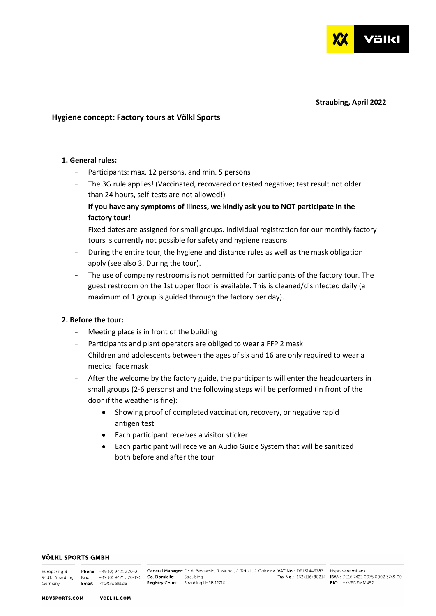

### **Straubing, April 2022**

## **Hygiene concept: Factory tours at Völkl Sports**

## **1. General rules:**

- Participants: max. 12 persons, and min. 5 persons
- The 3G rule applies! (Vaccinated, recovered or tested negative; test result not older than 24 hours, self-tests are not allowed!)
- **If you have any symptoms of illness, we kindly ask you to NOT participate in the factory tour!**
- Fixed dates are assigned for small groups. Individual registration for our monthly factory tours is currently not possible for safety and hygiene reasons
- During the entire tour, the hygiene and distance rules as well as the mask obligation apply (see also 3. During the tour).
- The use of company restrooms is not permitted for participants of the factory tour. The guest restroom on the 1st upper floor is available. This is cleaned/disinfected daily (a maximum of 1 group is guided through the factory per day).

## **2. Before the tour:**

- Meeting place is in front of the building
- Participants and plant operators are obliged to wear a FFP 2 mask
- Children and adolescents between the ages of six and 16 are only required to wear a medical face mask
- After the welcome by the factory guide, the participants will enter the headquarters in small groups (2-6 persons) and the following steps will be performed (in front of the door if the weather is fine):
	- Showing proof of completed vaccination, recovery, or negative rapid antigen test
	- Each participant receives a visitor sticker
	- Each participant will receive an Audio Guide System that will be sanitized both before and after the tour

### **VÖLKL SPORTS GMBH**

| Europaring 8 | <b>Phone:</b> $+49(0)9421320-0$                                                         | General Manager: Dr. A. Bergamin, R. Mundt, J. Tobak, J. Colonna VAT No.: DE131443783 Hypo Vereinsbank |                                                                |
|--------------|-----------------------------------------------------------------------------------------|--------------------------------------------------------------------------------------------------------|----------------------------------------------------------------|
|              | 94315 Straubing • <b>Fax:</b> • +49 (0) 9421 320-195 • <b>Co. Domicile:</b> • Straubing |                                                                                                        | Tax No: 162/116/80214 <b>IBAN: DE16 7422 0075 0002 3749 00</b> |
| Germanv      | <b>Email:</b> info@voelkl.de                                                            | <b>Registry Court:</b> Straubing   HRB 12710                                                           | <b>BIC:</b> HYVEDEMM452                                        |